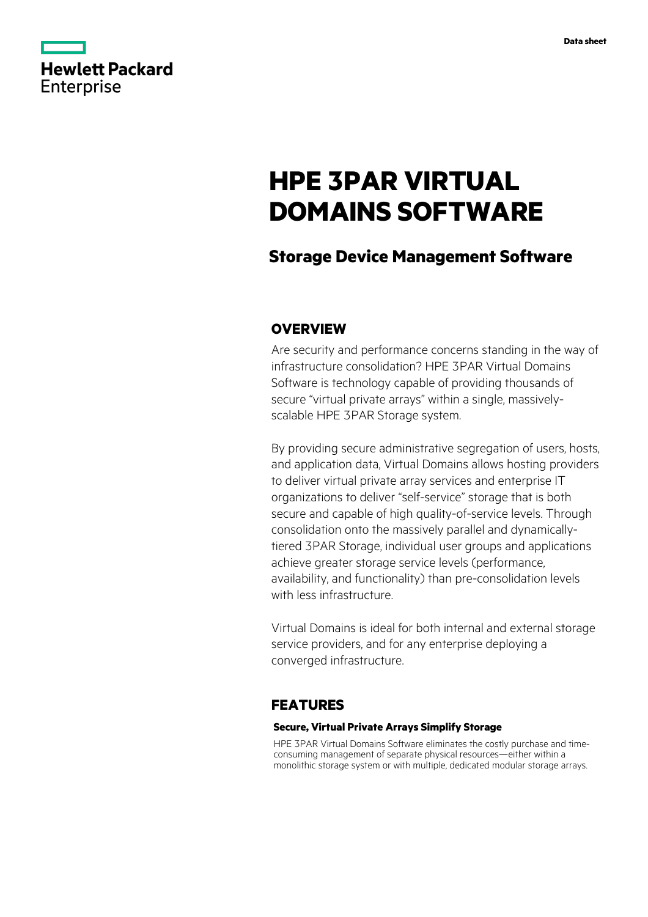|            | <b>Hewlett Packard</b> |
|------------|------------------------|
| Enterprise |                        |

# **HPE 3PAR VIRTUAL DOMAINS SOFTWARE**

# **Storage Device Management Software**

# **OVERVIEW**

Are security and performance concerns standing in the way of infrastructure consolidation? HPE 3PAR Virtual Domains Software is technology capable of providing thousands of secure "virtual private arrays" within a single, massivelyscalable HPE 3PAR Storage system.

By providing secure administrative segregation of users, hosts, and application data, Virtual Domains allows hosting providers to deliver virtual private array services and enterprise IT organizations to deliver "self-service" storage that is both secure and capable of high quality-of-service levels. Through consolidation onto the massively parallel and dynamicallytiered 3PAR Storage, individual user groups and applications achieve greater storage service levels (performance, availability, and functionality) than pre-consolidation levels with less infrastructure.

Virtual Domains is ideal for both internal and external storage service providers, and for any enterprise deploying a converged infrastructure.

### **FEATURES**

### **Secure, Virtual Private Arrays Simplify Storage**

HPE 3PAR Virtual Domains Software eliminates the costly purchase and timeconsuming management of separate physical resources—either within a monolithic storage system or with multiple, dedicated modular storage arrays.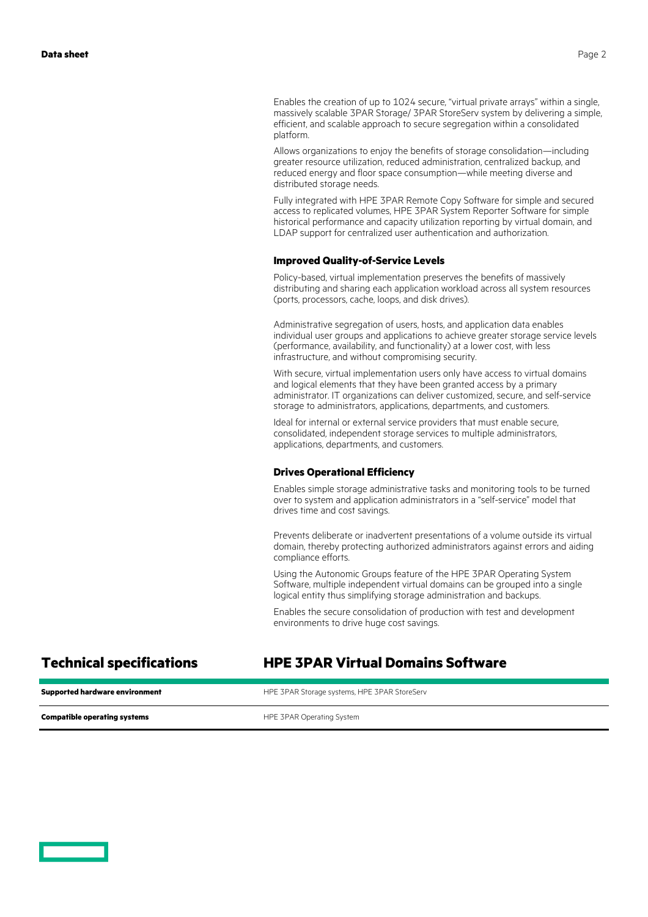Enables the creation of up to 1024 secure, "virtual private arrays" within a single, massively scalable 3PAR Storage/ 3PAR StoreServ system by delivering a simple, efficient, and scalable approach to secure segregation within a consolidated platform.

Allows organizations to enjoy the benefits of storage consolidation—including greater resource utilization, reduced administration, centralized backup, and reduced energy and floor space consumption—while meeting diverse and distributed storage needs.

Fully integrated with HPE 3PAR Remote Copy Software for simple and secured access to replicated volumes, HPE 3PAR System Reporter Software for simple historical performance and capacity utilization reporting by virtual domain, and LDAP support for centralized user authentication and authorization.

### **Improved Quality-of-Service Levels**

Policy-based, virtual implementation preserves the benefits of massively distributing and sharing each application workload across all system resources (ports, processors, cache, loops, and disk drives).

Administrative segregation of users, hosts, and application data enables individual user groups and applications to achieve greater storage service levels (performance, availability, and functionality) at a lower cost, with less infrastructure, and without compromising security.

With secure, virtual implementation users only have access to virtual domains and logical elements that they have been granted access by a primary administrator. IT organizations can deliver customized, secure, and self-service storage to administrators, applications, departments, and customers.

Ideal for internal or external service providers that must enable secure, consolidated, independent storage services to multiple administrators, applications, departments, and customers.

### **Drives Operational Efficiency**

Enables simple storage administrative tasks and monitoring tools to be turned over to system and application administrators in a "self-service" model that drives time and cost savings.

Prevents deliberate or inadvertent presentations of a volume outside its virtual domain, thereby protecting authorized administrators against errors and aiding compliance efforts.

Using the Autonomic Groups feature of the HPE 3PAR Operating System Software, multiple independent virtual domains can be grouped into a single logical entity thus simplifying storage administration and backups.

Enables the secure consolidation of production with test and development environments to drive huge cost savings.

## **Technical specifications HPE 3PAR Virtual Domains Software**

| <b>Supported hardware environment</b> | HPE 3PAR Storage systems, HPE 3PAR StoreServ |
|---------------------------------------|----------------------------------------------|
| <b>Compatible operating systems</b>   | HPE 3PAR Operating System                    |